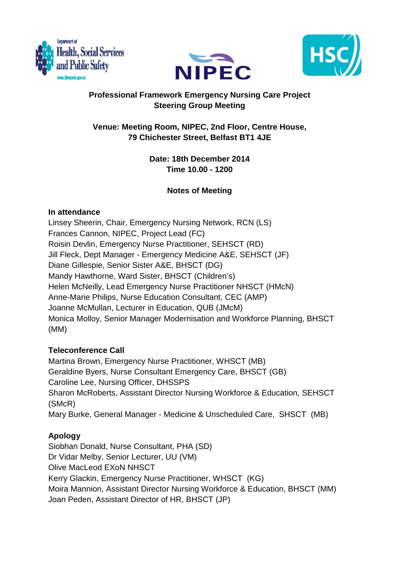





# **Professional Framework Emergency Nursing Care Project Steering Group Meeting**

# **Venue: Meeting Room, NIPEC, 2nd Floor, Centre House, 79 Chichester Street, Belfast BT1 4JE**

**Date: 18th December 2014 Time 10.00 - 1200** 

# **Notes of Meeting**

## **In attendance**

Linsey Sheerin, Chair, Emergency Nursing Network, RCN (LS) Frances Cannon, NIPEC, Project Lead (FC) Roisin Devlin, Emergency Nurse Practitioner, SEHSCT (RD) Jill Fleck, Dept Manager - Emergency Medicine A&E, SEHSCT (JF) Diane Gillespie, Senior Sister A&E, BHSCT (DG) Mandy Hawthorne, Ward Sister, BHSCT (Children's) Helen McNeilly, Lead Emergency Nurse Practitioner NHSCT (HMcN) Anne-Marie Philips, Nurse Education Consultant, CEC (AMP) Joanne McMullan, Lecturer in Education, QUB (JMcM) Monica Molloy, Senior Manager Modernisation and Workforce Planning, BHSCT (MM)

## **Teleconference Call**

Martina Brown, Emergency Nurse Practitioner, WHSCT (MB) Geraldine Byers, Nurse Consultant Emergency Care, BHSCT (GB) Caroline Lee, Nursing Officer, DHSSPS Sharon McRoberts, Assistant Director Nursing Workforce & Education, SEHSCT (SMcR) Mary Burke, General Manager - Medicine & Unscheduled Care, SHSCT (MB)

# **Apology**

Siobhan Donald, Nurse Consultant, PHA (SD) Dr Vidar Melby, Senior Lecturer, UU (VM) Olive MacLeod EXoN NHSCT Kerry Glackin, Emergency Nurse Practitioner, WHSCT (KG) Moira Mannion, Assistant Director Nursing Workforce & Education, BHSCT (MM) Joan Peden, Assistant Director of HR, BHSCT (JP)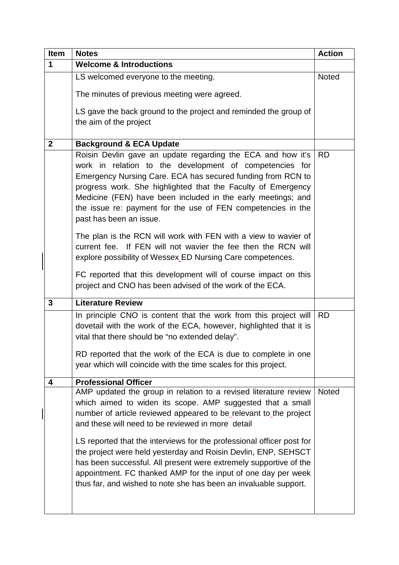|  | <b>Item</b>  | <b>Notes</b>                                                                                                                                                                                                                                                                                                                                                                                                                                                                                                                              | <b>Action</b> |
|--|--------------|-------------------------------------------------------------------------------------------------------------------------------------------------------------------------------------------------------------------------------------------------------------------------------------------------------------------------------------------------------------------------------------------------------------------------------------------------------------------------------------------------------------------------------------------|---------------|
|  | 1            | <b>Welcome &amp; Introductions</b>                                                                                                                                                                                                                                                                                                                                                                                                                                                                                                        |               |
|  |              | LS welcomed everyone to the meeting.                                                                                                                                                                                                                                                                                                                                                                                                                                                                                                      | <b>Noted</b>  |
|  |              | The minutes of previous meeting were agreed.                                                                                                                                                                                                                                                                                                                                                                                                                                                                                              |               |
|  |              | LS gave the back ground to the project and reminded the group of<br>the aim of the project                                                                                                                                                                                                                                                                                                                                                                                                                                                |               |
|  | $\mathbf{2}$ | <b>Background &amp; ECA Update</b>                                                                                                                                                                                                                                                                                                                                                                                                                                                                                                        |               |
|  |              | Roisin Devlin gave an update regarding the ECA and how it's<br>work in relation to the development of competencies for<br>Emergency Nursing Care. ECA has secured funding from RCN to<br>progress work. She highlighted that the Faculty of Emergency<br>Medicine (FEN) have been included in the early meetings; and<br>the issue re: payment for the use of FEN competencies in the<br>past has been an issue.                                                                                                                          | <b>RD</b>     |
|  |              | The plan is the RCN will work with FEN with a view to wavier of<br>current fee. If FEN will not wavier the fee then the RCN will<br>explore possibility of Wessex ED Nursing Care competences.                                                                                                                                                                                                                                                                                                                                            |               |
|  |              | FC reported that this development will of course impact on this<br>project and CNO has been advised of the work of the ECA.                                                                                                                                                                                                                                                                                                                                                                                                               |               |
|  | 3            | <b>Literature Review</b>                                                                                                                                                                                                                                                                                                                                                                                                                                                                                                                  |               |
|  |              | In principle CNO is content that the work from this project will<br>dovetail with the work of the ECA, however, highlighted that it is<br>vital that there should be "no extended delay".                                                                                                                                                                                                                                                                                                                                                 | <b>RD</b>     |
|  |              | RD reported that the work of the ECA is due to complete in one<br>year which will coincide with the time scales for this project.                                                                                                                                                                                                                                                                                                                                                                                                         |               |
|  | 4            | <b>Professional Officer</b>                                                                                                                                                                                                                                                                                                                                                                                                                                                                                                               |               |
|  |              | AMP updated the group in relation to a revised literature review<br>which aimed to widen its scope. AMP suggested that a small<br>number of article reviewed appeared to be relevant to the project<br>and these will need to be reviewed in more detail<br>LS reported that the interviews for the professional officer post for<br>the project were held yesterday and Roisin Devlin, ENP, SEHSCT<br>has been successful. All present were extremely supportive of the<br>appointment. FC thanked AMP for the input of one day per week | <b>Noted</b>  |
|  |              | thus far, and wished to note she has been an invaluable support.                                                                                                                                                                                                                                                                                                                                                                                                                                                                          |               |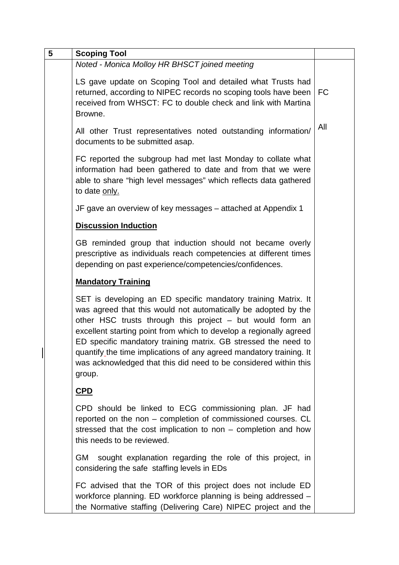| 5 | <b>Scoping Tool</b>                                                                                                                                                                                                                                                                                                                                                                                                                                                                        |           |
|---|--------------------------------------------------------------------------------------------------------------------------------------------------------------------------------------------------------------------------------------------------------------------------------------------------------------------------------------------------------------------------------------------------------------------------------------------------------------------------------------------|-----------|
|   | Noted - Monica Molloy HR BHSCT joined meeting                                                                                                                                                                                                                                                                                                                                                                                                                                              |           |
|   | LS gave update on Scoping Tool and detailed what Trusts had<br>returned, according to NIPEC records no scoping tools have been<br>received from WHSCT: FC to double check and link with Martina<br>Browne.                                                                                                                                                                                                                                                                                 | <b>FC</b> |
|   | All other Trust representatives noted outstanding information/<br>documents to be submitted asap.                                                                                                                                                                                                                                                                                                                                                                                          | All       |
|   | FC reported the subgroup had met last Monday to collate what<br>information had been gathered to date and from that we were<br>able to share "high level messages" which reflects data gathered<br>to date only.                                                                                                                                                                                                                                                                           |           |
|   | JF gave an overview of key messages – attached at Appendix 1                                                                                                                                                                                                                                                                                                                                                                                                                               |           |
|   | <b>Discussion Induction</b>                                                                                                                                                                                                                                                                                                                                                                                                                                                                |           |
|   | GB reminded group that induction should not became overly<br>prescriptive as individuals reach competencies at different times<br>depending on past experience/competencies/confidences.                                                                                                                                                                                                                                                                                                   |           |
|   | <b>Mandatory Training</b>                                                                                                                                                                                                                                                                                                                                                                                                                                                                  |           |
|   | SET is developing an ED specific mandatory training Matrix. It<br>was agreed that this would not automatically be adopted by the<br>other HSC trusts through this project - but would form an<br>excellent starting point from which to develop a regionally agreed<br>ED specific mandatory training matrix. GB stressed the need to<br>quantify the time implications of any agreed mandatory training. It<br>was acknowledged that this did need to be considered within this<br>group. |           |
|   | CPD                                                                                                                                                                                                                                                                                                                                                                                                                                                                                        |           |
|   | CPD should be linked to ECG commissioning plan. JF had<br>reported on the non - completion of commissioned courses. CL<br>stressed that the cost implication to non - completion and how<br>this needs to be reviewed.                                                                                                                                                                                                                                                                     |           |
|   | sought explanation regarding the role of this project, in<br>GM.<br>considering the safe staffing levels in EDs                                                                                                                                                                                                                                                                                                                                                                            |           |
|   | FC advised that the TOR of this project does not include ED<br>workforce planning. ED workforce planning is being addressed -<br>the Normative staffing (Delivering Care) NIPEC project and the                                                                                                                                                                                                                                                                                            |           |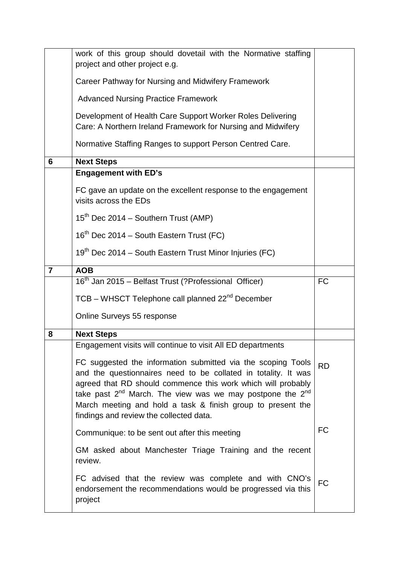|                | work of this group should dovetail with the Normative staffing<br>project and other project e.g.                                                                                                                                                                                                                                                                                |           |
|----------------|---------------------------------------------------------------------------------------------------------------------------------------------------------------------------------------------------------------------------------------------------------------------------------------------------------------------------------------------------------------------------------|-----------|
|                | Career Pathway for Nursing and Midwifery Framework                                                                                                                                                                                                                                                                                                                              |           |
|                | <b>Advanced Nursing Practice Framework</b>                                                                                                                                                                                                                                                                                                                                      |           |
|                | Development of Health Care Support Worker Roles Delivering<br>Care: A Northern Ireland Framework for Nursing and Midwifery                                                                                                                                                                                                                                                      |           |
|                | Normative Staffing Ranges to support Person Centred Care.                                                                                                                                                                                                                                                                                                                       |           |
| 6              | <b>Next Steps</b>                                                                                                                                                                                                                                                                                                                                                               |           |
|                | <b>Engagement with ED's</b>                                                                                                                                                                                                                                                                                                                                                     |           |
|                | FC gave an update on the excellent response to the engagement<br>visits across the EDs                                                                                                                                                                                                                                                                                          |           |
|                | $15th$ Dec 2014 – Southern Trust (AMP)                                                                                                                                                                                                                                                                                                                                          |           |
|                | 16 <sup>th</sup> Dec 2014 – South Eastern Trust (FC)                                                                                                                                                                                                                                                                                                                            |           |
|                | 19 <sup>th</sup> Dec 2014 – South Eastern Trust Minor Injuries (FC)                                                                                                                                                                                                                                                                                                             |           |
| $\overline{7}$ | <b>AOB</b>                                                                                                                                                                                                                                                                                                                                                                      |           |
|                | 16 <sup>th</sup> Jan 2015 – Belfast Trust (?Professional Officer)                                                                                                                                                                                                                                                                                                               | <b>FC</b> |
|                | TCB - WHSCT Telephone call planned 22 <sup>nd</sup> December                                                                                                                                                                                                                                                                                                                    |           |
|                | Online Surveys 55 response                                                                                                                                                                                                                                                                                                                                                      |           |
| 8              | <b>Next Steps</b>                                                                                                                                                                                                                                                                                                                                                               |           |
|                | Engagement visits will continue to visit All ED departments                                                                                                                                                                                                                                                                                                                     |           |
|                | FC suggested the information submitted via the scoping Tools<br>and the questionnaires need to be collated in totality. It was<br>agreed that RD should commence this work which will probably<br>take past $2^{nd}$ March. The view was we may postpone the $2^{nd}$<br>March meeting and hold a task & finish group to present the<br>findings and review the collected data. | <b>RD</b> |
|                | Communique: to be sent out after this meeting                                                                                                                                                                                                                                                                                                                                   | <b>FC</b> |
|                | GM asked about Manchester Triage Training and the recent<br>review.                                                                                                                                                                                                                                                                                                             |           |
|                | FC advised that the review was complete and with CNO's<br>endorsement the recommendations would be progressed via this<br>project                                                                                                                                                                                                                                               | <b>FC</b> |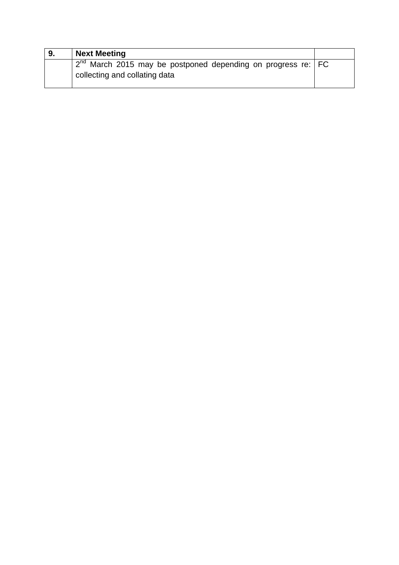| 9. | <b>Next Meeting</b>                                                                                  |  |
|----|------------------------------------------------------------------------------------------------------|--|
|    | $2^{nd}$ March 2015 may be postponed depending on progress re:   FC<br>collecting and collating data |  |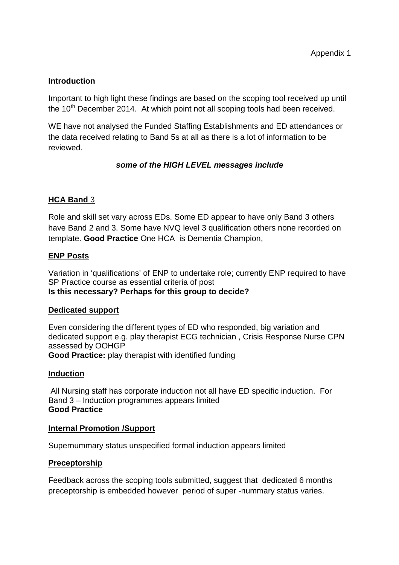#### **Introduction**

Important to high light these findings are based on the scoping tool received up until the  $10<sup>th</sup>$  December 2014. At which point not all scoping tools had been received.

WE have not analysed the Funded Staffing Establishments and ED attendances or the data received relating to Band 5s at all as there is a lot of information to be reviewed.

### **some of the HIGH LEVEL messages include**

## **HCA Band** 3

Role and skill set vary across EDs. Some ED appear to have only Band 3 others have Band 2 and 3. Some have NVQ level 3 qualification others none recorded on template. **Good Practice** One HCA is Dementia Champion,

### **ENP Posts**

Variation in 'qualifications' of ENP to undertake role; currently ENP required to have SP Practice course as essential criteria of post **Is this necessary? Perhaps for this group to decide?** 

#### **Dedicated support**

Even considering the different types of ED who responded, big variation and dedicated support e.g. play therapist ECG technician , Crisis Response Nurse CPN assessed by OOHGP **Good Practice:** play therapist with identified funding

#### **Induction**

 All Nursing staff has corporate induction not all have ED specific induction. For Band 3 – Induction programmes appears limited **Good Practice** 

#### **Internal Promotion /Support**

Supernummary status unspecified formal induction appears limited

#### **Preceptorship**

Feedback across the scoping tools submitted, suggest that dedicated 6 months preceptorship is embedded however period of super -nummary status varies.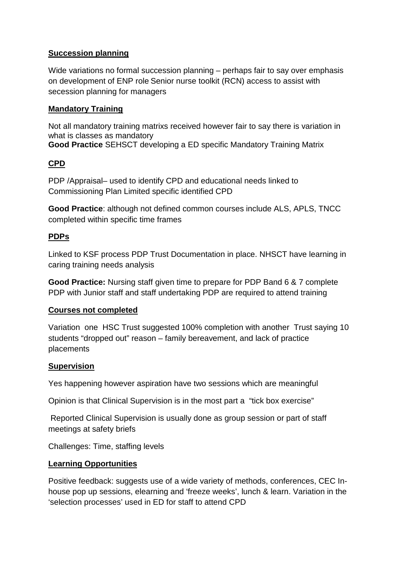### **Succession planning**

Wide variations no formal succession planning – perhaps fair to say over emphasis on development of ENP role Senior nurse toolkit (RCN) access to assist with secession planning for managers

### **Mandatory Training**

Not all mandatory training matrixs received however fair to say there is variation in what is classes as mandatory **Good Practice** SEHSCT developing a ED specific Mandatory Training Matrix

# **CPD**

PDP /Appraisal– used to identify CPD and educational needs linked to Commissioning Plan Limited specific identified CPD

**Good Practice**: although not defined common courses include ALS, APLS, TNCC completed within specific time frames

## **PDPs**

Linked to KSF process PDP Trust Documentation in place. NHSCT have learning in caring training needs analysis

**Good Practice:** Nursing staff given time to prepare for PDP Band 6 & 7 complete PDP with Junior staff and staff undertaking PDP are required to attend training

### **Courses not completed**

Variation one HSC Trust suggested 100% completion with another Trust saying 10 students "dropped out" reason – family bereavement, and lack of practice placements

### **Supervision**

Yes happening however aspiration have two sessions which are meaningful

Opinion is that Clinical Supervision is in the most part a "tick box exercise"

 Reported Clinical Supervision is usually done as group session or part of staff meetings at safety briefs

Challenges: Time, staffing levels

### **Learning Opportunities**

Positive feedback: suggests use of a wide variety of methods, conferences, CEC Inhouse pop up sessions, elearning and 'freeze weeks', lunch & learn. Variation in the 'selection processes' used in ED for staff to attend CPD